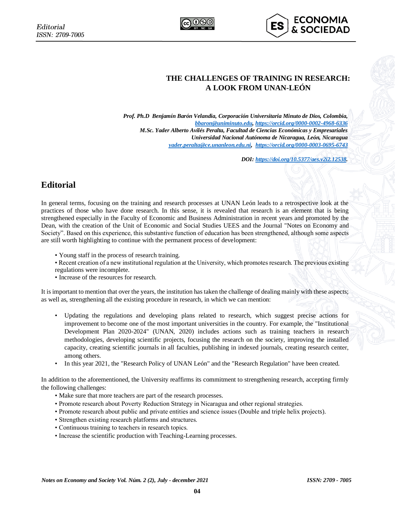



## **THE CHALLENGES OF TRAINING IN RESEARCH: A LOOK FROM UNAN-LEÓN**

*Prof. Ph.D Benjamín Barón Velandia, Corporación Universitaria Minuto de Dios, Colombia, [bbaron@uniminuto.edu,](mailto:bbaron@uniminuto.edu)<https://orcid.org/0000-0002-4968-6336> M.Sc. Yader Alberto Avilés Peralta, Facultad de Ciencias Económicas y Empresariales Universidad Nacional Autónoma de Nicaragua, León, Nicaragua [yader.peralta@ce.unanleon.edu.ni,](mailto:yader.peralta@ce.unanleon.edu.ni) <https://orcid.org/0000-0003-0695-6743>*

*DOI: [https://doi.org/10.5377/aes.v2i2.12538.](https://doi.org/10.5377/aes.v2i2.12538)*

## **Editorial**

In general terms, focusing on the training and research processes at UNAN León leads to a retrospective look at the practices of those who have done research. In this sense, it is revealed that research is an element that is being strengthened especially in the Faculty of Economic and Business Administration in recent years and promoted by the Dean, with the creation of the Unit of Economic and Social Studies UEES and the Journal "Notes on Economy and Society". Based on this experience, this substantive function of education has been strengthened, although some aspects are still worth highlighting to continue with the permanent process of development:

- Young staff in the process of research training.
- Recent creation of a new institutional regulation at the University, which promotes research. The previous existing regulations were incomplete.
- Increase of the resources for research.

It is important to mention that over the years, the institution has taken the challenge of dealing mainly with these aspects; as well as, strengthening all the existing procedure in research, in which we can mention:

- Updating the regulations and developing plans related to research, which suggest precise actions for improvement to become one of the most important universities in the country. For example, the "Institutional Development Plan 2020-2024" (UNAN, 2020) includes actions such as training teachers in research methodologies, developing scientific projects, focusing the research on the society, improving the installed capacity, creating scientific journals in all faculties, publishing in indexed journals, creating research center, among others.
- In this year 2021, the "Research Policy of UNAN León" and the "Research Regulation" have been created.

In addition to the aforementioned, the University reaffirms its commitment to strengthening research, accepting firmly the following challenges:

- Make sure that more teachers are part of the research processes.
- Promote research about Poverty Reduction Strategy in Nicaragua and other regional strategies.
- Promote research about public and private entities and science issues (Double and triple helix projects).
- Strengthen existing research platforms and structures.
- Continuous training to teachers in research topics.
- Increase the scientific production with Teaching-Learning processes.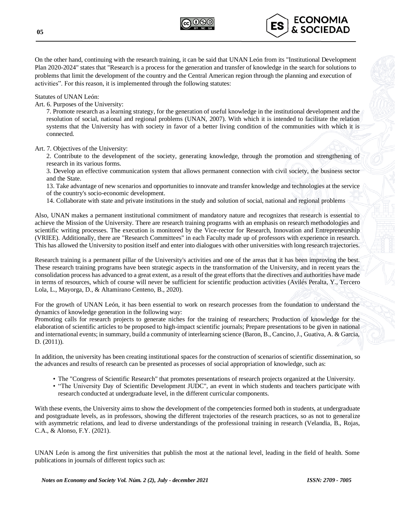

On the other hand, continuing with the research training, it can be said that UNAN León from its "Institutional Development Plan 2020-2024" states that "Research is a process for the generation and transfer of knowledge in the search for solutions to problems that limit the development of the country and the Central American region through the planning and execution of activities". For this reason, it is implemented through the following statutes:

Statutes of UNAN León:

Art. 6. Purposes of the University:

7. Promote research as a learning strategy, for the generation of useful knowledge in the institutional development and the resolution of social, national and regional problems (UNAN, 2007). With which it is intended to facilitate the relation systems that the University has with society in favor of a better living condition of the communities with which it is connected.

Art. 7. Objectives of the University:

2. Contribute to the development of the society, generating knowledge, through the promotion and strengthening of research in its various forms.

3. Develop an effective communication system that allows permanent connection with civil society, the business sector and the State.

13. Take advantage of new scenarios and opportunities to innovate and transfer knowledge and technologies at the service of the country's socio-economic development.

14. Collaborate with state and private institutions in the study and solution of social, national and regional problems

Also, UNAN makes a permanent institutional commitment of mandatory nature and recognizes that research is essential to achieve the Mission of the University. There are research training programs with an emphasis on research methodologies and scientific writing processes. The execution is monitored by the Vice-rector for Research, Innovation and Entrepreneurship (VRIEE). Additionally, there are "Research Committees" in each Faculty made up of professors with experience in research. This has allowed the University to position itself and enter into dialogues with other universities with long research trajectories.

Research training is a permanent pillar of the University's activities and one of the areas that it has been improving the best. These research training programs have been strategic aspects in the transformation of the University, and in recent years the consolidation process has advanced to a great extent, as a result of the great efforts that the directives and authorities have made in terms of resources, which of course will never be sufficient for scientific production activities (Avilés Peralta, Y., Tercero Lola, L., Mayorga, D., & Altamirano Centeno, B., 2020).

For the growth of UNAN León, it has been essential to work on research processes from the foundation to understand the dynamics of knowledge generation in the following way:

Promoting calls for research projects to generate niches for the training of researchers; Production of knowledge for the elaboration of scientific articles to be proposed to high-impact scientific journals; Prepare presentations to be given in national and international events; in summary, build a community of interlearning science (Baron, B., Cancino, J., Guativa, A. & Garcia, D. (2011)).

In addition, the university has been creating institutional spaces for the construction of scenarios of scientific dissemination, so the advances and results of research can be presented as processes of social appropriation of knowledge, such as:

- The "Congress of Scientific Research" that promotes presentations of research projects organized at the University.
- "The University Day of Scientific Development JUDC", an event in which students and teachers participate with research conducted at undergraduate level, in the different curricular components.

With these events, the University aims to show the development of the competencies formed both in students, at undergraduate and postgraduate levels, as in professors, showing the different trajectories of the research practices, so as not to generalize with asymmetric relations, and lead to diverse understandings of the professional training in research (Velandia, B., Rojas, C.A., & Alonso, F.Y. (2021).

UNAN León is among the first universities that publish the most at the national level, leading in the field of health. Some publications in journals of different topics such as: